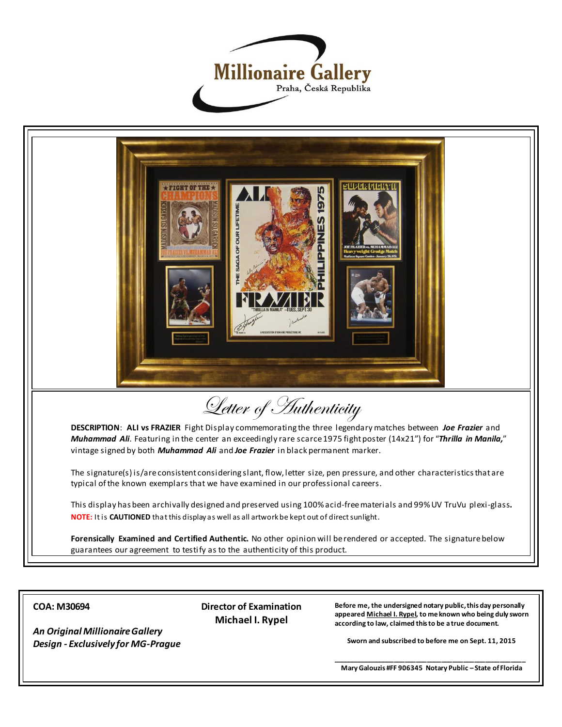



**COA: M30694**

*An Original Millionaire Gallery Design - Exclusively for MG-Prague*  **Director of Examination Michael I. Rypel**

**Before me, the undersigned notary public, this day personally appeared Michael I. Rypel, to me known who being duly sworn according to law, claimed this to be a true document.**

**Sworn and subscribed to before me on Sept. 11, 2015**

**\_\_\_\_\_\_\_\_\_\_\_\_\_\_\_\_\_\_\_\_\_\_\_\_\_\_\_\_\_\_\_\_\_\_\_\_\_\_\_\_\_\_\_\_\_\_\_\_\_\_\_\_\_ Mary Galouzis #FF 906345 Notary Public – State of Florida**